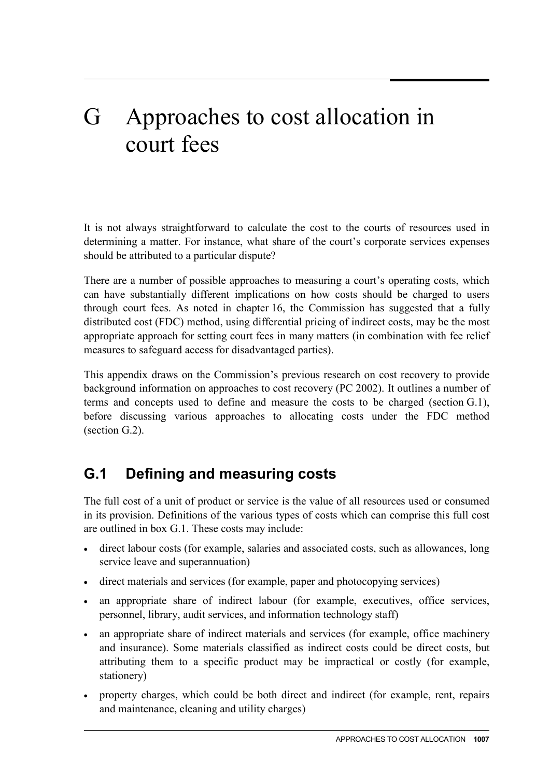# G Approaches to cost allocation in court fees

It is not always straightforward to calculate the cost to the courts of resources used in determining a matter. For instance, what share of the court's corporate services expenses should be attributed to a particular dispute?

There are a number of possible approaches to measuring a court's operating costs, which can have substantially different implications on how costs should be charged to users through court fees. As noted in chapter 16, the Commission has suggested that a fully distributed cost (FDC) method, using differential pricing of indirect costs, may be the most appropriate approach for setting court fees in many matters (in combination with fee relief measures to safeguard access for disadvantaged parties).

This appendix draws on the Commission's previous research on cost recovery to provide background information on approaches to cost recovery (PC 2002). It outlines a number of terms and concepts used to define and measure the costs to be charged (section G.1), before discussing various approaches to allocating costs under the FDC method (section G.2).

## **G.1 Defining and measuring costs**

The full cost of a unit of product or service is the value of all resources used or consumed in its provision. Definitions of the various types of costs which can comprise this full cost are outlined in box G.1. These costs may include:

- direct labour costs (for example, salaries and associated costs, such as allowances, long service leave and superannuation)
- direct materials and services (for example, paper and photocopying services)
- an appropriate share of indirect labour (for example, executives, office services, personnel, library, audit services, and information technology staff)
- an appropriate share of indirect materials and services (for example, office machinery and insurance). Some materials classified as indirect costs could be direct costs, but attributing them to a specific product may be impractical or costly (for example, stationery)
- property charges, which could be both direct and indirect (for example, rent, repairs and maintenance, cleaning and utility charges)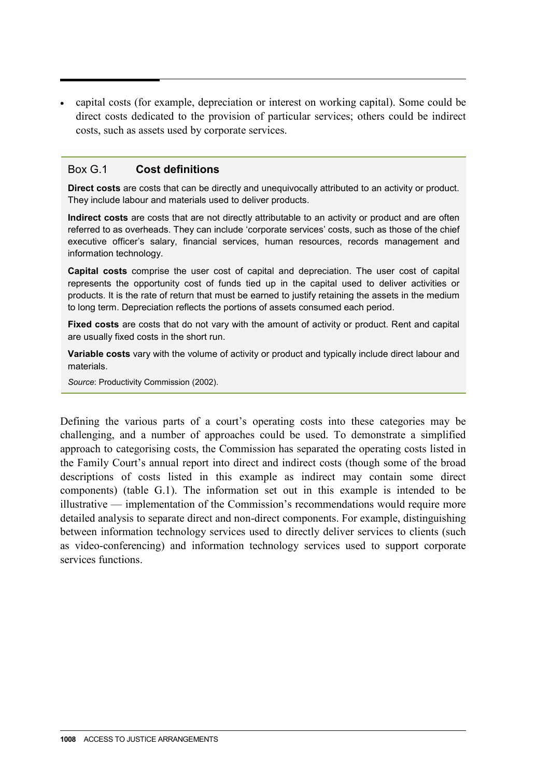• capital costs (for example, depreciation or interest on working capital). Some could be direct costs dedicated to the provision of particular services; others could be indirect costs, such as assets used by corporate services.

#### Box G.1 **Cost definitions**

**Direct costs** are costs that can be directly and unequivocally attributed to an activity or product. They include labour and materials used to deliver products.

**Indirect costs** are costs that are not directly attributable to an activity or product and are often referred to as overheads. They can include 'corporate services' costs, such as those of the chief executive officer's salary, financial services, human resources, records management and information technology.

**Capital costs** comprise the user cost of capital and depreciation. The user cost of capital represents the opportunity cost of funds tied up in the capital used to deliver activities or products. It is the rate of return that must be earned to justify retaining the assets in the medium to long term. Depreciation reflects the portions of assets consumed each period.

**Fixed costs** are costs that do not vary with the amount of activity or product. Rent and capital are usually fixed costs in the short run.

**Variable costs** vary with the volume of activity or product and typically include direct labour and materials.

*Source*: Productivity Commission (2002).

Defining the various parts of a court's operating costs into these categories may be challenging, and a number of approaches could be used. To demonstrate a simplified approach to categorising costs, the Commission has separated the operating costs listed in the Family Court's annual report into direct and indirect costs (though some of the broad descriptions of costs listed in this example as indirect may contain some direct components) (table G.1). The information set out in this example is intended to be illustrative — implementation of the Commission's recommendations would require more detailed analysis to separate direct and non-direct components. For example, distinguishing between information technology services used to directly deliver services to clients (such as video-conferencing) and information technology services used to support corporate services functions.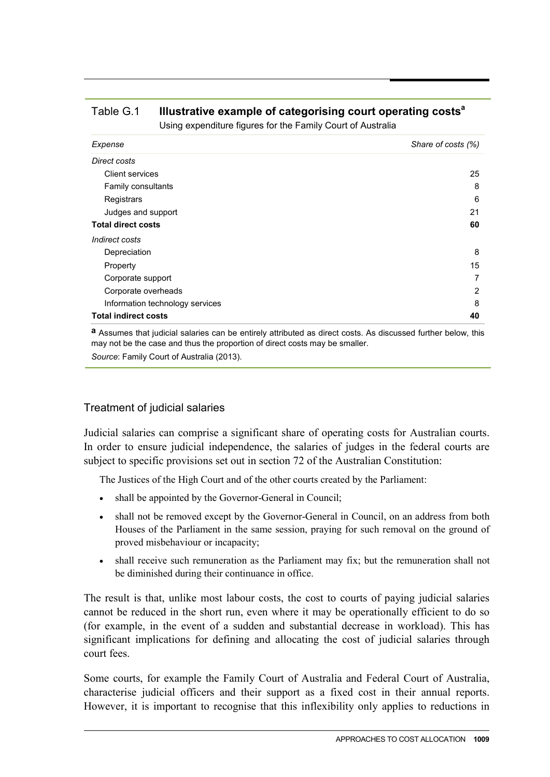| <b>Comig experienters righted for the Family Court of Adolfand</b> |                    |
|--------------------------------------------------------------------|--------------------|
| Expense                                                            | Share of costs (%) |
| Direct costs                                                       |                    |
| Client services                                                    | 25                 |
| Family consultants                                                 | 8                  |
| Registrars                                                         | 6                  |
| Judges and support                                                 | 21                 |
| <b>Total direct costs</b>                                          | 60                 |
| Indirect costs                                                     |                    |
| Depreciation                                                       | 8                  |
| Property                                                           | 15                 |
| Corporate support                                                  | 7                  |
| Corporate overheads                                                | 2                  |
| Information technology services                                    | 8                  |
| <b>Total indirect costs</b>                                        | 40                 |

# Table G.1 **Illustrative example of categorising court operating costsa**

Using expenditure figures for the Family Court of Australia

**a** Assumes that judicial salaries can be entirely attributed as direct costs. As discussed further below, this may not be the case and thus the proportion of direct costs may be smaller.

*Source*: Family Court of Australia (2013).

#### Treatment of judicial salaries

Judicial salaries can comprise a significant share of operating costs for Australian courts. In order to ensure judicial independence, the salaries of judges in the federal courts are subject to specific provisions set out in section 72 of the Australian Constitution:

The Justices of the High Court and of the other courts created by the Parliament:

- shall be appointed by the Governor-General in Council;
- shall not be removed except by the Governor-General in Council, on an address from both Houses of the Parliament in the same session, praying for such removal on the ground of proved misbehaviour or incapacity;
- shall receive such remuneration as the Parliament may fix; but the remuneration shall not be diminished during their continuance in office.

The result is that, unlike most labour costs, the cost to courts of paying judicial salaries cannot be reduced in the short run, even where it may be operationally efficient to do so (for example, in the event of a sudden and substantial decrease in workload). This has significant implications for defining and allocating the cost of judicial salaries through court fees.

Some courts, for example the Family Court of Australia and Federal Court of Australia, characterise judicial officers and their support as a fixed cost in their annual reports. However, it is important to recognise that this inflexibility only applies to reductions in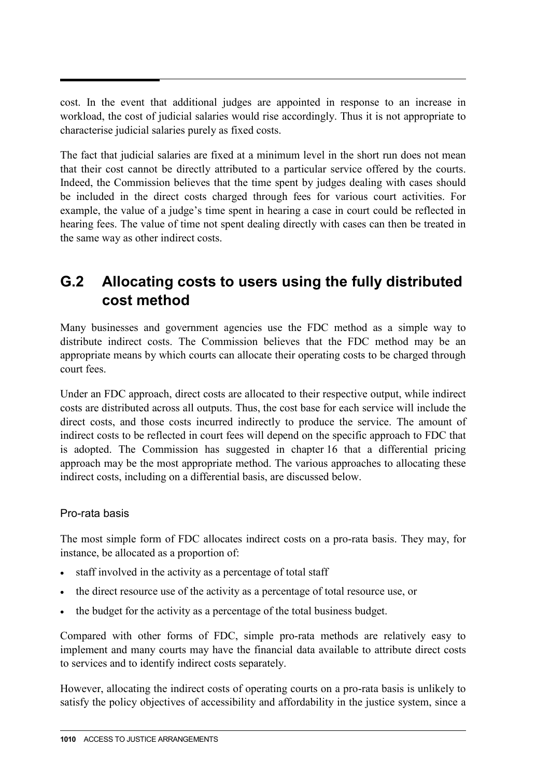cost. In the event that additional judges are appointed in response to an increase in workload, the cost of judicial salaries would rise accordingly. Thus it is not appropriate to characterise judicial salaries purely as fixed costs.

The fact that judicial salaries are fixed at a minimum level in the short run does not mean that their cost cannot be directly attributed to a particular service offered by the courts. Indeed, the Commission believes that the time spent by judges dealing with cases should be included in the direct costs charged through fees for various court activities. For example, the value of a judge's time spent in hearing a case in court could be reflected in hearing fees. The value of time not spent dealing directly with cases can then be treated in the same way as other indirect costs.

### **G.2 Allocating costs to users using the fully distributed cost method**

Many businesses and government agencies use the FDC method as a simple way to distribute indirect costs. The Commission believes that the FDC method may be an appropriate means by which courts can allocate their operating costs to be charged through court fees.

Under an FDC approach, direct costs are allocated to their respective output, while indirect costs are distributed across all outputs. Thus, the cost base for each service will include the direct costs, and those costs incurred indirectly to produce the service. The amount of indirect costs to be reflected in court fees will depend on the specific approach to FDC that is adopted. The Commission has suggested in chapter 16 that a differential pricing approach may be the most appropriate method. The various approaches to allocating these indirect costs, including on a differential basis, are discussed below.

#### Pro-rata basis

The most simple form of FDC allocates indirect costs on a pro-rata basis. They may, for instance, be allocated as a proportion of:

- staff involved in the activity as a percentage of total staff
- the direct resource use of the activity as a percentage of total resource use, or
- the budget for the activity as a percentage of the total business budget.

Compared with other forms of FDC, simple pro-rata methods are relatively easy to implement and many courts may have the financial data available to attribute direct costs to services and to identify indirect costs separately.

However, allocating the indirect costs of operating courts on a pro-rata basis is unlikely to satisfy the policy objectives of accessibility and affordability in the justice system, since a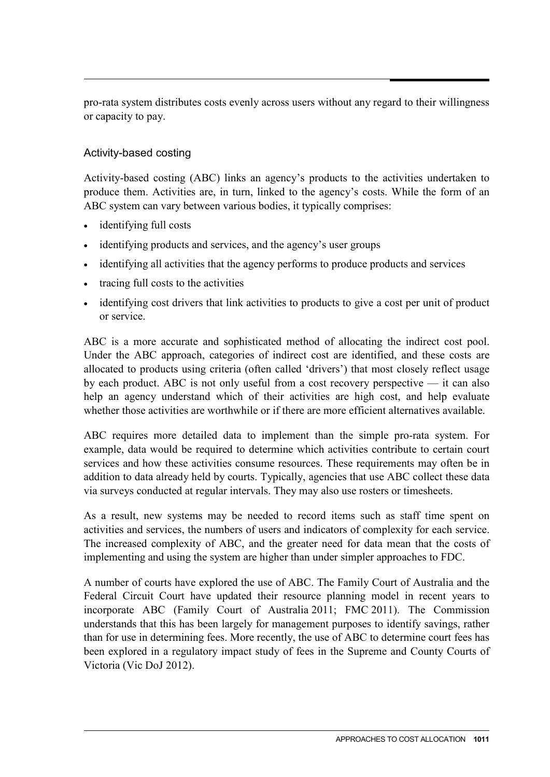pro-rata system distributes costs evenly across users without any regard to their willingness or capacity to pay.

#### Activity-based costing

Activity-based costing (ABC) links an agency's products to the activities undertaken to produce them. Activities are, in turn, linked to the agency's costs. While the form of an ABC system can vary between various bodies, it typically comprises:

- identifying full costs
- identifying products and services, and the agency's user groups
- identifying all activities that the agency performs to produce products and services
- tracing full costs to the activities
- identifying cost drivers that link activities to products to give a cost per unit of product or service.

ABC is a more accurate and sophisticated method of allocating the indirect cost pool. Under the ABC approach, categories of indirect cost are identified, and these costs are allocated to products using criteria (often called 'drivers') that most closely reflect usage by each product. ABC is not only useful from a cost recovery perspective — it can also help an agency understand which of their activities are high cost, and help evaluate whether those activities are worthwhile or if there are more efficient alternatives available.

ABC requires more detailed data to implement than the simple pro-rata system. For example, data would be required to determine which activities contribute to certain court services and how these activities consume resources. These requirements may often be in addition to data already held by courts. Typically, agencies that use ABC collect these data via surveys conducted at regular intervals. They may also use rosters or timesheets.

As a result, new systems may be needed to record items such as staff time spent on activities and services, the numbers of users and indicators of complexity for each service. The increased complexity of ABC, and the greater need for data mean that the costs of implementing and using the system are higher than under simpler approaches to FDC.

A number of courts have explored the use of ABC. The Family Court of Australia and the Federal Circuit Court have updated their resource planning model in recent years to incorporate ABC (Family Court of Australia 2011; FMC 2011). The Commission understands that this has been largely for management purposes to identify savings, rather than for use in determining fees. More recently, the use of ABC to determine court fees has been explored in a regulatory impact study of fees in the Supreme and County Courts of Victoria (Vic DoJ 2012).